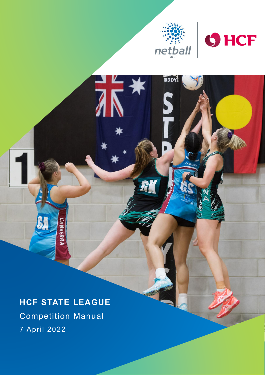

**IUDDYS** 

 $R_1'$ 

 $\overline{2}$ 



# **HCF STATE LEAGUE**

Competition Manual 7 April 2022

**NBERR**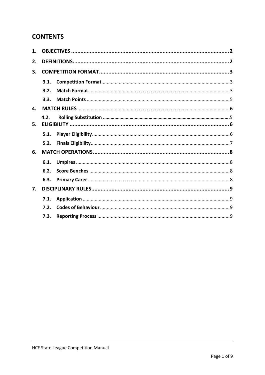# **CONTENTS**

| 1. |      |  |  |
|----|------|--|--|
| 2. |      |  |  |
| 3. |      |  |  |
|    | 3.1. |  |  |
|    | 3.2. |  |  |
|    | 3.3. |  |  |
| 4. |      |  |  |
|    | 4.2. |  |  |
| 5. |      |  |  |
|    | 5.1. |  |  |
|    | 5.2. |  |  |
| 6. |      |  |  |
|    | 6.1. |  |  |
|    | 6.2. |  |  |
|    | 6.3. |  |  |
| 7. |      |  |  |
|    | 7.1. |  |  |
|    | 7.2. |  |  |
|    | 7.3. |  |  |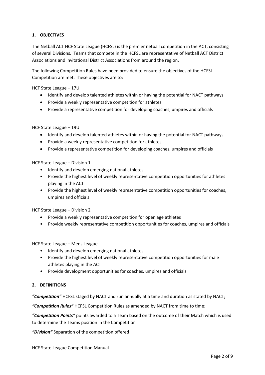# <span id="page-2-0"></span>**1. OBJECTIVES**

The Netball ACT HCF State League (HCFSL) is the premier netball competition in the ACT, consisting of several Divisions. Teams that compete in the HCFSL are representative of Netball ACT District Associations and invitational District Associations from around the region.

The following Competition Rules have been provided to ensure the objectives of the HCFSL Competition are met. These objectives are to:

HCF State League – 17U

- Identify and develop talented athletes within or having the potential for NACT pathways
- Provide a weekly representative competition for athletes
- Provide a representative competition for developing coaches, umpires and officials

HCF State League – 19U

- Identify and develop talented athletes within or having the potential for NACT pathways
- Provide a weekly representative competition for athletes
- Provide a representative competition for developing coaches, umpires and officials

HCF State League – Division 1

- Identify and develop emerging national athletes
- Provide the highest level of weekly representative competition opportunities for athletes playing in the ACT
- Provide the highest level of weekly representative competition opportunities for coaches, umpires and officials

HCF State League – Division 2

- Provide a weekly representative competition for open age athletes
- Provide weekly representative competition opportunities for coaches, umpires and officials

HCF State League – Mens League

- Identify and develop emerging national athletes
- Provide the highest level of weekly representative competition opportunities for male athletes playing in the ACT
- Provide development opportunities for coaches, umpires and officials

# <span id="page-2-1"></span>**2. DEFINITIONS**

*"Competition"* HCFSL staged by NACT and run annually at a time and duration as stated by NACT;

*"Competition Rules"* HCFSL Competition Rules as amended by NACT from time to time;

*"Competition Points"* points awarded to a Team based on the outcome of their Match which is used to determine the Teams position in the Competition

*"Division"* Separation of the competition offered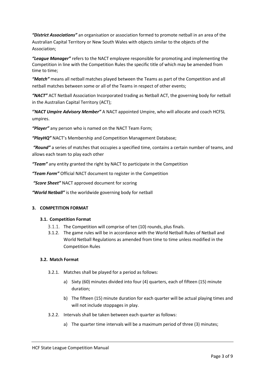*"District Associations"* an organisation or association formed to promote netball in an area of the Australian Capital Territory or New South Wales with objects similar to the objects of the Association;

*"League Manager"* refers to the NACT employee responsible for promoting and implementing the Competition in line with the Competition Rules the specific title of which may be amended from time to time;

*"Match"* means all netball matches played between the Teams as part of the Competition and all netball matches between some or all of the Teams in respect of other events;

*"NACT"* ACT Netball Association Incorporated trading as Netball ACT, the governing body for netball in the Australian Capital Territory (ACT);

*''NACT Umpire Advisory Member"* A NACT appointed Umpire, who will allocate and coach HCFSL umpires.

*"Player"* any person who is named on the NACT Team Form;

*"PlayHQ"* NACT's Membership and Competition Management Database;

*"Round"* a series of matches that occupies a specified time, contains a certain number of teams, and allows each team to play each other

*"Team"* any entity granted the right by NACT to participate in the Competition

*"Team Form"* Official NACT document to register in the Competition

*"Score Sheet"* NACT approved document for scoring

*"World Netball"* is the worldwide governing body for netball

#### <span id="page-3-0"></span>**3. COMPETITION FORMAT**

#### **3.1. Competition Format**

- <span id="page-3-1"></span>3.1.1. The Competition will comprise of ten (10) rounds, plus finals.
- 3.1.2. The game rules will be in accordance with the World Netball Rules of Netball and World Netball Regulations as amended from time to time unless modified in the Competition Rules

#### <span id="page-3-2"></span>**3.2. Match Format**

- 3.2.1. Matches shall be played for a period as follows:
	- a) Sixty (60) minutes divided into four (4) quarters, each of fifteen (15) minute duration;
	- b) The fifteen (15) minute duration for each quarter will be actual playing times and will not include stoppages in play.
- 3.2.2. Intervals shall be taken between each quarter as follows:
	- a) The quarter time intervals will be a maximum period of three (3) minutes;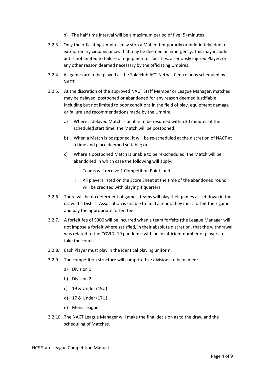- b) The half time interval will be a maximum period of five (5) minutes
- 3.2.3. Only the officiating Umpires may stop a Match (temporarily or indefinitely) due to extraordinary circumstances that may be deemed an emergency. This may include but is not limited to failure of equipment or facilities, a seriously injured Player, or any other reason deemed necessary by the officiating Umpires.
- 3.2.4. All games are to be played at the SolarHub ACT Netball Centre or as scheduled by NACT.
- 3.2.5. At the discretion of the approved NACT Staff Member or League Manager, matches may be delayed, postponed or abandoned for any reason deemed justifiable including but not limited to poor conditions in the field of play, equipment damage or failure and recommendations made by the Umpire.
	- a) Where a delayed Match is unable to be resumed within 30 minutes of the scheduled start time, the Match will be postponed;
	- b) When a Match is postponed, it will be re-scheduled at the discretion of NACT at a time and place deemed suitable; or
	- c) Where a postponed Match is unable to be re-scheduled, the Match will be abandoned in which case the following will apply:
		- i. Teams will receive 1 Competition Point; and
		- ii. All players listed on the Score Sheet at the time of the abandoned round will be credited with playing 4 quarters.
- 3.2.6. There will be no deferment of games: teams will play their games as set down in the draw. If a District Association is unable to field a team, they must forfeit their game and pay the appropriate forfeit fee.
- 3.2.7. A forfeit fee of \$300 will be incurred when a team forfeits (the League Manager will not impose a forfeit where satisfied, in their absolute discretion, that the withdrawal was related to the COVID -19 pandemic with an insufficient number of players to take the court).
- 3.2.8. Each Player must play in the identical playing uniform.
- 3.2.9. The competition structure will comprise five divisions to be named:
	- a) Division 1
	- b) Division 2
	- c) 19 & Under (19U)
	- d) 17 & Under (17U)
	- e) Mens League
- 3.2.10. The NACT League Manager will make the final decision as to the draw and the scheduling of Matches.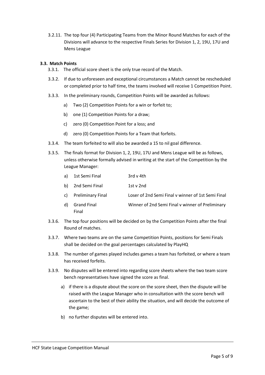3.2.11. The top four (4) Participating Teams from the Minor Round Matches for each of the Divisions will advance to the respective Finals Series for Division 1, 2, 19U, 17U and Mens League

# <span id="page-5-0"></span>**3.3. Match Points**

- 3.3.1. The official score sheet is the only true record of the Match.
- 3.3.2. If due to unforeseen and exceptional circumstances a Match cannot be rescheduled or completed prior to half time, the teams involved will receive 1 Competition Point.
- 3.3.3. In the preliminary rounds, Competition Points will be awarded as follows:
	- a) Two (2) Competition Points for a win or forfeit to;
	- b) one (1) Competition Points for a draw;
	- c) zero (0) Competition Point for a loss; and
	- d) zero (0) Competition Points for a Team that forfeits.
- 3.3.4. The team forfeited to will also be awarded a 15 to nil goal difference.
- 3.3.5. The finals format for Division 1, 2, 19U, 17U and Mens League will be as follows, unless otherwise formally advised in writing at the start of the Competition by the League Manager:
	- a) 1st Semi Final 3rd v 4th
	- b) 2nd Semi Final 1st v 2nd
	- c) Preliminary Final Loser of 2nd Semi Final v winner of 1st Semi Final
	- d) Grand Final Winner of 2nd Semi Final v winner of Preliminary Final
- 3.3.6. The top four positions will be decided on by the Competition Points after the final Round of matches.
- 3.3.7. Where two teams are on the same Competition Points, positions for Semi Finals shall be decided on the goal percentages calculated by PlayHQ
- 3.3.8. The number of games played includes games a team has forfeited, or where a team has received forfeits.
- 3.3.9. No disputes will be entered into regarding score sheets where the two team score bench representatives have signed the score as final.
	- a) if there is a dispute about the score on the score sheet, then the dispute will be raised with the League Manager who in consultation with the score bench will ascertain to the best of their ability the situation, and will decide the outcome of the game;
	- b) no further disputes will be entered into.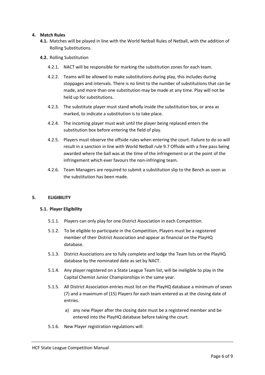# <span id="page-6-0"></span>**4. Match Rules**

- **4.1.** Matches will be played in line with the World Netball Rules of Netball, with the addition of Rolling Substitutions.
- **4.2.** Rolling Substitution
	- 4.2.1. NACT will be responsible for marking the substitution zones for each team.
	- 4.2.2. Teams will be allowed to make substitutions during play, this includes during stoppages and intervals. There is no limit to the number of substitutions that can be made, and more than one substitution may be made at any time. Play will not be held up for substitutions.
	- 4.2.3. The substitute player must stand wholly inside the substitution box, or area as marked, to indicate a substitution is to take place.
	- 4.2.4. The incoming player must wait until the player being replaced enters the substitution box before entering the field of play.
	- 4.2.5. Players must observe the offside rules when entering the court. Failure to do so will result in a sanction in line with World Netball rule 9.7 Offside with a free pass being awarded where the ball was at the time of the infringement or at the point of the infringement which ever favours the non-infringing team.
	- 4.2.6. Team Managers are required to submit a substitution slip to the Bench as soon as the substitution has been made.

#### **5. ELIGIBILITY**

#### <span id="page-6-2"></span><span id="page-6-1"></span>**5.1. Player Eligibility**

- 5.1.1. Players can only play for one District Association in each Competition.
- 5.1.2. To be eligible to participate in the Competition, Players must be a registered member of their District Association and appear as financial on the PlayHQ database.
- 5.1.3. District Associations are to fully complete and lodge the Team lists on the PlayHQ database by the nominated date as set by NACT.
- 5.1.4. Any player registered on a State League Team list, will be ineligible to play in the Capital Chemist Junior Championships in the same year.
- 5.1.5. All District Association entries must list on the PlayHQ database a minimum of seven (7) and a maximum of (15) Players for each team entered as at the closing date of entries.
	- a) any new Player after the closing date must be a registered member and be entered into the PlayHQ database before taking the court.
- 5.1.6. New Player registration regulations will: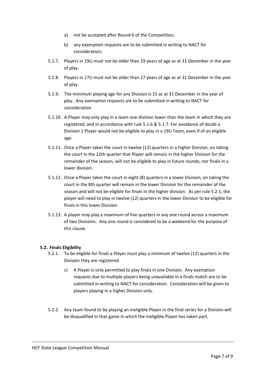- a) not be accepted after Round 6 of the Competition;
- b) any exemption requests are to be submitted in writing to NACT for consideration;
- 5.1.7. Players in 19U must not be older than 19 years of age as at 31 December in the year of play.
- 5.1.8. Players in 17U must not be older than 17 years of age as at 31 December in the year of play
- 5.1.9. The minimum playing age for any Division is 15 as at 31 December in the year of play. Any exemption requests are to be submitted in writing to NACT for consideration
- 5.1.10. A Player may only play in a team one division lower than the team in which they are registered, and in accordance with rule 5.1.6 & 5.1.7. For avoidance of doubt a Division 1 Player would not be eligible to play in a 19U Team, even if of an eligible age.
- 5.1.11. Once a Player takes the court in twelve (12) quarters in a higher Division, on taking the court in the 12th quarter that Player will remain in the higher Division for the remainder of the season, will not be eligible to play in future rounds, nor finals in a lower division.
- 5.1.12. Once a Player takes the court in eight (8) quarters in a lower Division, on taking the court in the 8th quarter will remain in the lower Division for the remainder of the season and will not be eligible for finals in the higher division. As per rule 5.2.1, the player will need to play in twelve (12) quarters in the lower Division to be eligible for finals in this lower Division.
- 5.1.13. A player may play a maximum of five quarters in any one round across a maximum of two Divisions. Any one round is considered to be a weekend for the purpose of this clause.

# <span id="page-7-0"></span>**5.2. Finals Eligibility**

- 5.2.1. To be eligible for finals a Player must play a minimum of twelve (12) quarters in the Division they are registered.
	- c) A Player is only permitted to play finals in one Division. Any exemption requests due to multiple players being unavailable in a finals match are to be submitted in writing to NACT for consideration. Consideration will be given to players playing in a higher Division only.
- 5.2.2. Any team found to be playing an ineligible Player in the final series for a Division will be disqualified in that game in which the ineligible Player has taken part.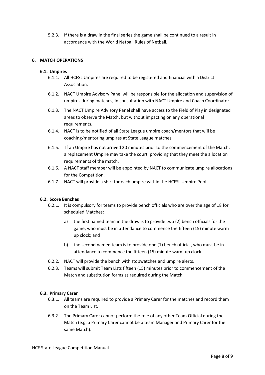5.2.3. If there is a draw in the final series the game shall be continued to a result in accordance with the World Netball Rules of Netball.

# <span id="page-8-0"></span>**6. MATCH OPERATIONS**

#### <span id="page-8-1"></span>**6.1. Umpires**

- 6.1.1. All HCFSL Umpires are required to be registered and financial with a District Association.
- 6.1.2. NACT Umpire Advisory Panel will be responsible for the allocation and supervision of umpires during matches, in consultation with NACT Umpire and Coach Coordinator.
- 6.1.3. The NACT Umpire Advisory Panel shall have access to the Field of Play in designated areas to observe the Match, but without impacting on any operational requirements.
- 6.1.4. NACT is to be notified of all State League umpire coach/mentors that will be coaching/mentoring umpires at State League matches.
- 6.1.5. If an Umpire has not arrived 20 minutes prior to the commencement of the Match, a replacement Umpire may take the court, providing that they meet the allocation requirements of the match.
- 6.1.6. A NACT staff member will be appointed by NACT to communicate umpire allocations for the Competition.
- 6.1.7. NACT will provide a shirt for each umpire within the HCFSL Umpire Pool.

#### <span id="page-8-2"></span>**6.2. Score Benches**

- 6.2.1. It is compulsory for teams to provide bench officials who are over the age of 18 for scheduled Matches:
	- a) the first named team in the draw is to provide two (2) bench officials for the game, who must be in attendance to commence the fifteen (15) minute warm up clock; and
	- b) the second named team is to provide one (1) bench official, who must be in attendance to commence the fifteen (15) minute warm up clock.
- 6.2.2. NACT will provide the bench with stopwatches and umpire alerts.
- 6.2.3. Teams will submit Team Lists fifteen (15) minutes prior to commencement of the Match and substitution forms as required during the Match.

## <span id="page-8-3"></span>**6.3. Primary Carer**

- 6.3.1. All teams are required to provide a Primary Carer for the matches and record them on the Team List.
- 6.3.2. The Primary Carer cannot perform the role of any other Team Official during the Match (e.g. a Primary Carer cannot be a team Manager and Primary Carer for the same Match).